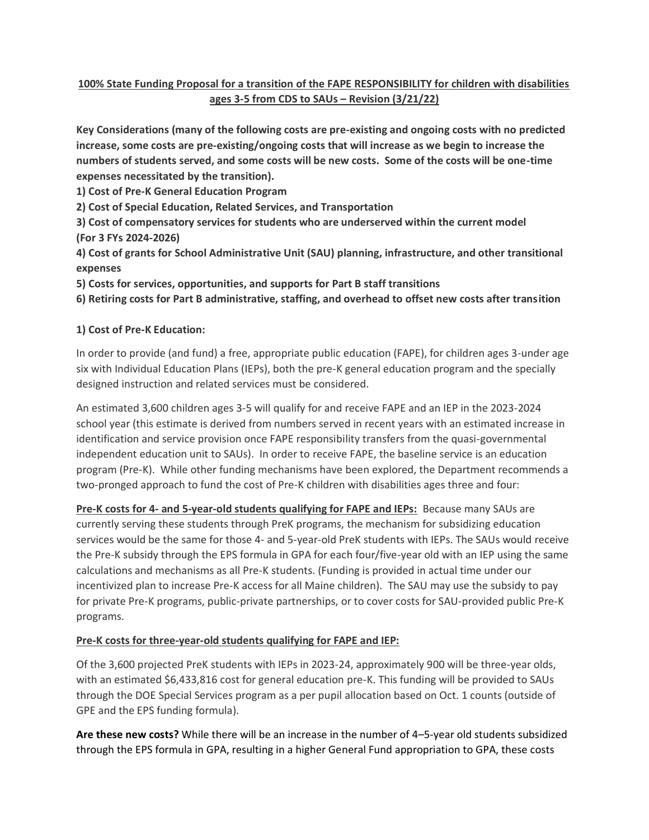# **100% State Funding Proposal for a transition of the FAPE RESPONSIBILITY for children with disabilities ages 3-5 from CDS to SAUs – Revision (3/21/22)**

**Key Considerations (many of the following costs are pre-existing and ongoing costs with no predicted increase, some costs are pre-existing/ongoing costs that will increase as we begin to increase the numbers of students served, and some costs will be new costs. Some of the costs will be one-time expenses necessitated by the transition).**

**1) Cost of Pre-K General Education Program**

**2) Cost of Special Education, Related Services, and Transportation**

**3) Cost of compensatory services for students who are underserved within the current model (For 3 FYs 2024-2026)**

**4) Cost of grants for School Administrative Unit (SAU) planning, infrastructure, and other transitional expenses**

**5) Costs for services, opportunities, and supports for Part B staff transitions**

**6) Retiring costs for Part B administrative, staffing, and overhead to offset new costs after transition**

#### **1) Cost of Pre-K Education:**

In order to provide (and fund) a free, appropriate public education (FAPE), for children ages 3-under age six with Individual Education Plans (IEPs), both the pre-K general education program and the specially designed instruction and related services must be considered.

An estimated 3,600 children ages 3-5 will qualify for and receive FAPE and an IEP in the 2023-2024 school year (this estimate is derived from numbers served in recent years with an estimated increase in identification and service provision once FAPE responsibility transfers from the quasi-governmental independent education unit to SAUs). In order to receive FAPE, the baseline service is an education program (Pre-K). While other funding mechanisms have been explored, the Department recommends a two-pronged approach to fund the cost of Pre-K children with disabilities ages three and four:

**Pre-K costs for 4- and 5-year-old students qualifying for FAPE and IEPs:** Because many SAUs are currently serving these students through PreK programs, the mechanism for subsidizing education services would be the same for those 4- and 5-year-old PreK students with IEPs. The SAUs would receive the Pre-K subsidy through the EPS formula in GPA for each four/five-year old with an IEP using the same calculations and mechanisms as all Pre-K students. (Funding is provided in actual time under our incentivized plan to increase Pre-K access for all Maine children). The SAU may use the subsidy to pay for private Pre-K programs, public-private partnerships, or to cover costs for SAU-provided public Pre-K programs.

#### **Pre-K costs for three-year-old students qualifying for FAPE and IEP:**

Of the 3,600 projected PreK students with IEPs in 2023-24, approximately 900 will be three-year olds, with an estimated \$6,433,816 cost for general education pre-K. This funding will be provided to SAUs through the DOE Special Services program as a per pupil allocation based on Oct. 1 counts (outside of GPE and the EPS funding formula).

**Are these new costs?** While there will be an increase in the number of 4–5-year old students subsidized through the EPS formula in GPA, resulting in a higher General Fund appropriation to GPA, these costs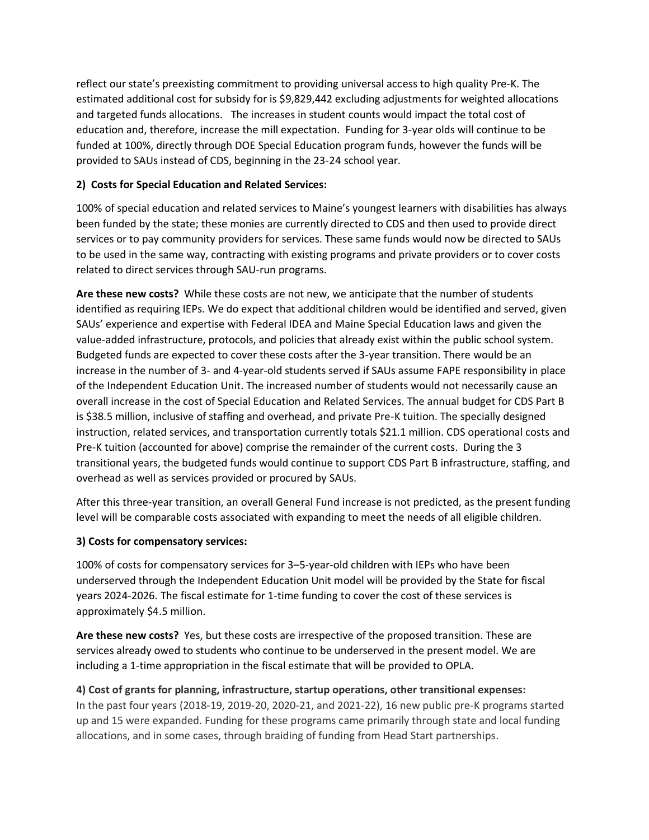reflect our state's preexisting commitment to providing universal access to high quality Pre-K. The estimated additional cost for subsidy for is \$9,829,442 excluding adjustments for weighted allocations and targeted funds allocations. The increases in student counts would impact the total cost of education and, therefore, increase the mill expectation. Funding for 3-year olds will continue to be funded at 100%, directly through DOE Special Education program funds, however the funds will be provided to SAUs instead of CDS, beginning in the 23-24 school year.

# **2) Costs for Special Education and Related Services:**

100% of special education and related services to Maine's youngest learners with disabilities has always been funded by the state; these monies are currently directed to CDS and then used to provide direct services or to pay community providers for services. These same funds would now be directed to SAUs to be used in the same way, contracting with existing programs and private providers or to cover costs related to direct services through SAU-run programs.

**Are these new costs?** While these costs are not new, we anticipate that the number of students identified as requiring IEPs. We do expect that additional children would be identified and served, given SAUs' experience and expertise with Federal IDEA and Maine Special Education laws and given the value-added infrastructure, protocols, and policies that already exist within the public school system. Budgeted funds are expected to cover these costs after the 3-year transition. There would be an increase in the number of 3- and 4-year-old students served if SAUs assume FAPE responsibility in place of the Independent Education Unit. The increased number of students would not necessarily cause an overall increase in the cost of Special Education and Related Services. The annual budget for CDS Part B is \$38.5 million, inclusive of staffing and overhead, and private Pre-K tuition. The specially designed instruction, related services, and transportation currently totals \$21.1 million. CDS operational costs and Pre-K tuition (accounted for above) comprise the remainder of the current costs. During the 3 transitional years, the budgeted funds would continue to support CDS Part B infrastructure, staffing, and overhead as well as services provided or procured by SAUs.

After this three-year transition, an overall General Fund increase is not predicted, as the present funding level will be comparable costs associated with expanding to meet the needs of all eligible children.

## **3) Costs for compensatory services:**

100% of costs for compensatory services for 3–5-year-old children with IEPs who have been underserved through the Independent Education Unit model will be provided by the State for fiscal years 2024-2026. The fiscal estimate for 1-time funding to cover the cost of these services is approximately \$4.5 million.

**Are these new costs?** Yes, but these costs are irrespective of the proposed transition. These are services already owed to students who continue to be underserved in the present model. We are including a 1-time appropriation in the fiscal estimate that will be provided to OPLA.

**4) Cost of grants for planning, infrastructure, startup operations, other transitional expenses:**  In the past four years (2018-19, 2019-20, 2020-21, and 2021-22), 16 new public pre-K programs started up and 15 were expanded. Funding for these programs came primarily through state and local funding allocations, and in some cases, through braiding of funding from Head Start partnerships.